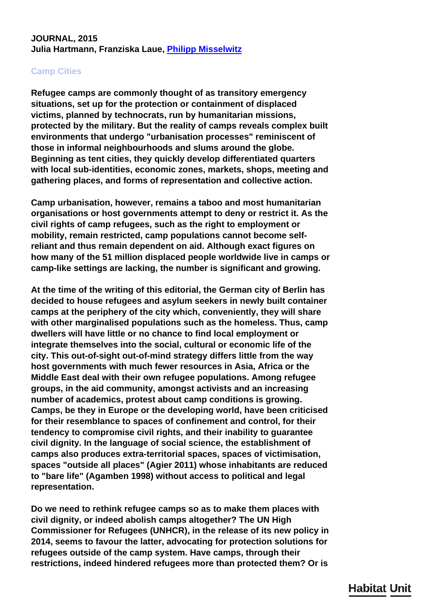## **JOURNAL, 2015 Julia Hartmann, Franziska Laue, [Philipp Misselwitz](/en/team/philipp-misselwitz/)**

## **Camp Cities**

**Refugee camps are commonly thought of as transitory emergency situations, set up for the protection or containment of displaced victims, planned by technocrats, run by humanitarian missions, protected by the military. But the reality of camps reveals complex built environments that undergo "urbanisation processes" reminiscent of those in informal neighbourhoods and slums around the globe. Beginning as tent cities, they quickly develop differentiated quarters with local sub-identities, economic zones, markets, shops, meeting and gathering places, and forms of representation and collective action.**

**Camp urbanisation, however, remains a taboo and most humanitarian organisations or host governments attempt to deny or restrict it. As the civil rights of camp refugees, such as the right to employment or mobility, remain restricted, camp populations cannot become selfreliant and thus remain dependent on aid. Although exact figures on how many of the 51 million displaced people worldwide live in camps or camp-like settings are lacking, the number is significant and growing.**

**At the time of the writing of this editorial, the German city of Berlin has decided to house refugees and asylum seekers in newly built container camps at the periphery of the city which, conveniently, they will share with other marginalised populations such as the homeless. Thus, camp dwellers will have little or no chance to find local employment or integrate themselves into the social, cultural or economic life of the city. This out-of-sight out-of-mind strategy differs little from the way host governments with much fewer resources in Asia, Africa or the Middle East deal with their own refugee populations. Among refugee groups, in the aid community, amongst activists and an increasing number of academics, protest about camp conditions is growing. Camps, be they in Europe or the developing world, have been criticised for their resemblance to spaces of confinement and control, for their tendency to compromise civil rights, and their inability to guarantee civil dignity. In the language of social science, the establishment of camps also produces extra-territorial spaces, spaces of victimisation, spaces "outside all places" (Agier 2011) whose inhabitants are reduced to "bare life" (Agamben 1998) without access to political and legal representation.**

**Do we need to rethink refugee camps so as to make them places with civil dignity, or indeed abolish camps altogether? The UN High Commissioner for Refugees (UNHCR), in the release of its new policy in 2014, seems to favour the latter, advocating for protection solutions for refugees outside of the camp system. Have camps, through their restrictions, indeed hindered refugees more than protected them? Or is**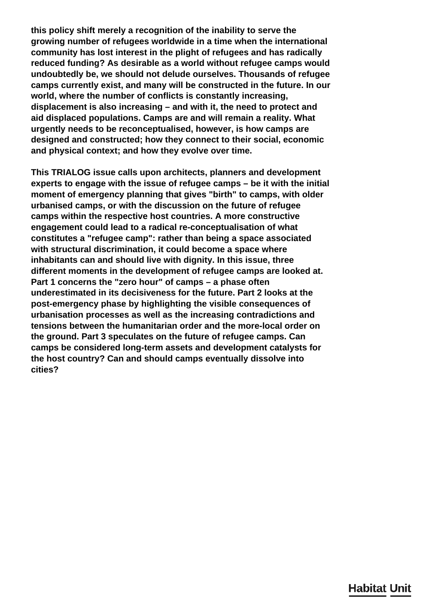**this policy shift merely a recognition of the inability to serve the growing number of refugees worldwide in a time when the international community has lost interest in the plight of refugees and has radically reduced funding? As desirable as a world without refugee camps would undoubtedly be, we should not delude ourselves. Thousands of refugee camps currently exist, and many will be constructed in the future. In our world, where the number of conflicts is constantly increasing, displacement is also increasing – and with it, the need to protect and aid displaced populations. Camps are and will remain a reality. What urgently needs to be reconceptualised, however, is how camps are designed and constructed; how they connect to their social, economic and physical context; and how they evolve over time.**

**This TRIALOG issue calls upon architects, planners and development experts to engage with the issue of refugee camps – be it with the initial moment of emergency planning that gives "birth" to camps, with older urbanised camps, or with the discussion on the future of refugee camps within the respective host countries. A more constructive engagement could lead to a radical re-conceptualisation of what constitutes a "refugee camp": rather than being a space associated with structural discrimination, it could become a space where inhabitants can and should live with dignity. In this issue, three different moments in the development of refugee camps are looked at. Part 1 concerns the "zero hour" of camps – a phase often underestimated in its decisiveness for the future. Part 2 looks at the post-emergency phase by highlighting the visible consequences of urbanisation processes as well as the increasing contradictions and tensions between the humanitarian order and the more-local order on the ground. Part 3 speculates on the future of refugee camps. Can camps be considered long-term assets and development catalysts for the host country? Can and should camps eventually dissolve into cities?**